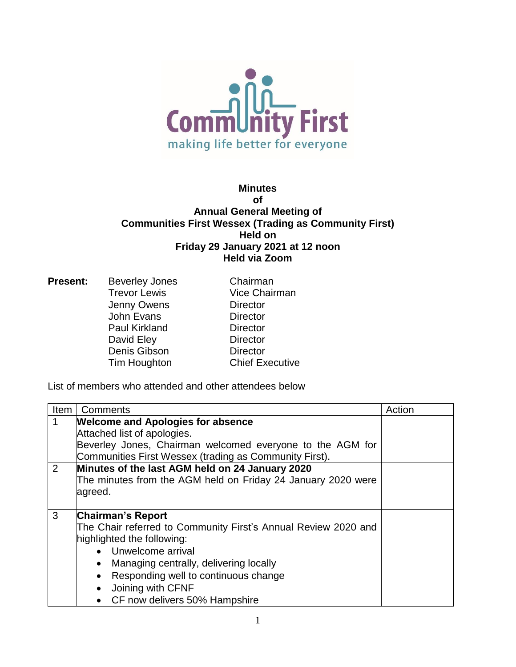

## **Minutes of Annual General Meeting of Communities First Wessex (Trading as Community First) Held on Friday 29 January 2021 at 12 noon Held via Zoom**

**Present:** Beverley Jones Chairman<br>Trevor Lewis Vice Chair Jenny Owens **Director** John Evans **Director** Paul Kirkland Director David Eley Director Denis Gibson Director Tim Houghton Chief Executive

Vice Chairman

List of members who attended and other attendees below

| Item           | Comments                                                       | Action |  |
|----------------|----------------------------------------------------------------|--------|--|
|                | <b>Welcome and Apologies for absence</b>                       |        |  |
|                | Attached list of apologies.                                    |        |  |
|                | Beverley Jones, Chairman welcomed everyone to the AGM for      |        |  |
|                | Communities First Wessex (trading as Community First).         |        |  |
| $\overline{2}$ | Minutes of the last AGM held on 24 January 2020                |        |  |
|                | The minutes from the AGM held on Friday 24 January 2020 were   |        |  |
|                | agreed.                                                        |        |  |
|                |                                                                |        |  |
| 3              | <b>Chairman's Report</b>                                       |        |  |
|                | The Chair referred to Community First's Annual Review 2020 and |        |  |
|                | highlighted the following:                                     |        |  |
|                | • Unwelcome arrival                                            |        |  |
|                | Managing centrally, delivering locally<br>$\bullet$            |        |  |
|                | Responding well to continuous change<br>$\bullet$              |        |  |
|                | Joining with CFNF<br>$\bullet$                                 |        |  |
|                | • CF now delivers 50% Hampshire                                |        |  |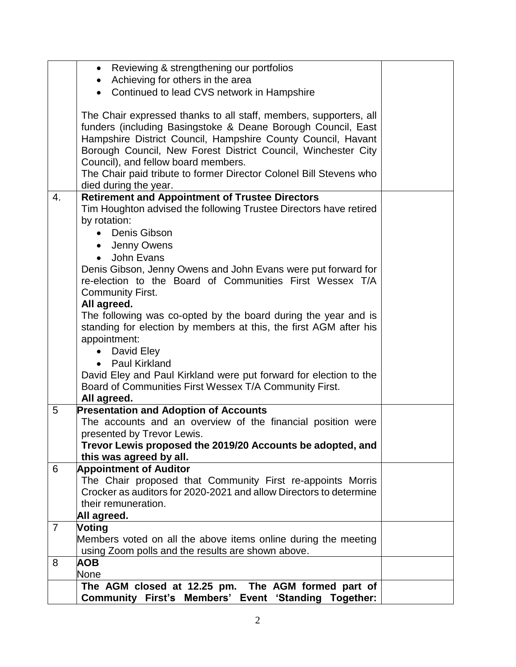| Achieving for others in the area<br>• Continued to lead CVS network in Hampshire |  |
|----------------------------------------------------------------------------------|--|
|                                                                                  |  |
| The Chair expressed thanks to all staff, members, supporters, all                |  |
| funders (including Basingstoke & Deane Borough Council, East                     |  |
| Hampshire District Council, Hampshire County Council, Havant                     |  |
| Borough Council, New Forest District Council, Winchester City                    |  |
| Council), and fellow board members.                                              |  |
| The Chair paid tribute to former Director Colonel Bill Stevens who               |  |
| died during the year.                                                            |  |
| <b>Retirement and Appointment of Trustee Directors</b><br>4.                     |  |
| Tim Houghton advised the following Trustee Directors have retired                |  |
| by rotation:                                                                     |  |
| Denis Gibson                                                                     |  |
| Jenny Owens                                                                      |  |
| John Evans                                                                       |  |
| Denis Gibson, Jenny Owens and John Evans were put forward for                    |  |
| re-election to the Board of Communities First Wessex T/A                         |  |
| <b>Community First.</b>                                                          |  |
| All agreed.<br>The following was co-opted by the board during the year and is    |  |
| standing for election by members at this, the first AGM after his                |  |
| appointment:                                                                     |  |
| • David Eley                                                                     |  |
| <b>Paul Kirkland</b><br>$\bullet$                                                |  |
| David Eley and Paul Kirkland were put forward for election to the                |  |
| Board of Communities First Wessex T/A Community First.                           |  |
| All agreed.                                                                      |  |
| <b>Presentation and Adoption of Accounts</b><br>5                                |  |
| The accounts and an overview of the financial position were                      |  |
| presented by Trevor Lewis.                                                       |  |
| Trevor Lewis proposed the 2019/20 Accounts be adopted, and                       |  |
| this was agreed by all.                                                          |  |
| <b>Appointment of Auditor</b><br>6                                               |  |
| The Chair proposed that Community First re-appoints Morris                       |  |
| Crocker as auditors for 2020-2021 and allow Directors to determine               |  |
| their remuneration.                                                              |  |
| All agreed.                                                                      |  |
|                                                                                  |  |
| $\overline{7}$<br>Voting                                                         |  |
| Members voted on all the above items online during the meeting                   |  |
| using Zoom polls and the results are shown above.                                |  |
| AOB<br>8                                                                         |  |
| <b>None</b><br>The AGM closed at 12.25 pm. The AGM formed part of                |  |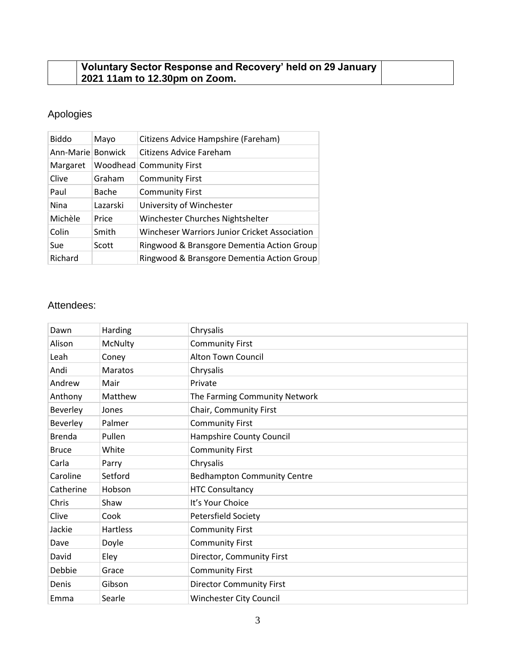## **Voluntary Sector Response and Recovery' held on 29 January 2021 11am to 12.30pm on Zoom.**

## Apologies

| <b>Biddo</b> | Mayo           | Citizens Advice Hampshire (Fareham)           |
|--------------|----------------|-----------------------------------------------|
| Ann-Marie    | <b>Bonwick</b> | Citizens Advice Fareham                       |
| Margaret     | Woodhead       | <b>Community First</b>                        |
| Clive        | Graham         | <b>Community First</b>                        |
| Paul         | Bache          | <b>Community First</b>                        |
| Nina         | Lazarski       | University of Winchester                      |
| Michèle      | Price          | Winchester Churches Nightshelter              |
| Colin        | Smith          | Wincheser Warriors Junior Cricket Association |
| Sue          | Scott          | Ringwood & Bransgore Dementia Action Group    |
| Richard      |                | Ringwood & Bransgore Dementia Action Group    |

## Attendees:

| Dawn          | Harding         | Chrysalis                          |
|---------------|-----------------|------------------------------------|
| Alison        | McNulty         | <b>Community First</b>             |
| Leah          | Coney           | <b>Alton Town Council</b>          |
| Andi          | Maratos         | Chrysalis                          |
| Andrew        | Mair            | Private                            |
| Anthony       | Matthew         | The Farming Community Network      |
| Beverley      | Jones           | Chair, Community First             |
| Beverley      | Palmer          | <b>Community First</b>             |
| <b>Brenda</b> | Pullen          | <b>Hampshire County Council</b>    |
| <b>Bruce</b>  | White           | <b>Community First</b>             |
| Carla         | Parry           | Chrysalis                          |
| Caroline      | Setford         | <b>Bedhampton Community Centre</b> |
| Catherine     | Hobson          | <b>HTC Consultancy</b>             |
| Chris         | Shaw            | It's Your Choice                   |
| Clive         | Cook            | <b>Petersfield Society</b>         |
| Jackie        | <b>Hartless</b> | <b>Community First</b>             |
| Dave          | Doyle           | <b>Community First</b>             |
| David         | Eley            | Director, Community First          |
| Debbie        | Grace           | <b>Community First</b>             |
| Denis         | Gibson          | <b>Director Community First</b>    |
| Emma          | Searle          | Winchester City Council            |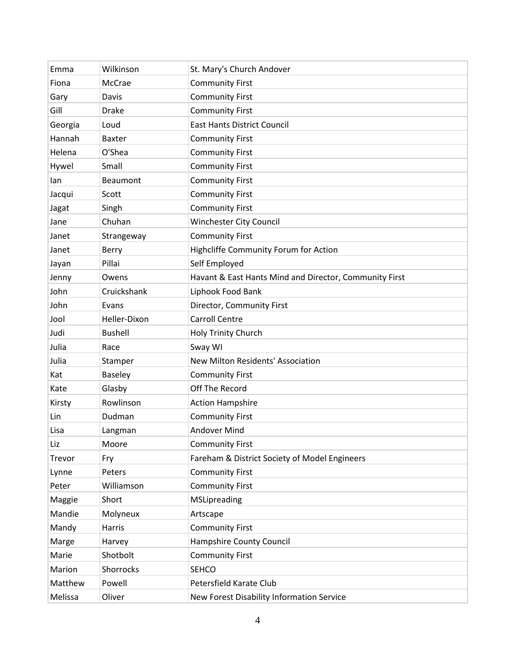| Emma    | Wilkinson      | St. Mary's Church Andover                              |
|---------|----------------|--------------------------------------------------------|
| Fiona   | McCrae         | <b>Community First</b>                                 |
| Gary    | Davis          | <b>Community First</b>                                 |
| Gill    | <b>Drake</b>   | <b>Community First</b>                                 |
| Georgia | Loud           | <b>East Hants District Council</b>                     |
| Hannah  | <b>Baxter</b>  | <b>Community First</b>                                 |
| Helena  | O'Shea         | <b>Community First</b>                                 |
| Hywel   | Small          | <b>Community First</b>                                 |
| lan     | Beaumont       | <b>Community First</b>                                 |
| Jacqui  | Scott          | <b>Community First</b>                                 |
| Jagat   | Singh          | <b>Community First</b>                                 |
| Jane    | Chuhan         | Winchester City Council                                |
| Janet   | Strangeway     | <b>Community First</b>                                 |
| Janet   | Berry          | Highcliffe Community Forum for Action                  |
| Jayan   | Pillai         | Self Employed                                          |
| Jenny   | Owens          | Havant & East Hants Mind and Director, Community First |
| John    | Cruickshank    | Liphook Food Bank                                      |
| John    | Evans          | Director, Community First                              |
| Jool    | Heller-Dixon   | <b>Carroll Centre</b>                                  |
| Judi    | <b>Bushell</b> | Holy Trinity Church                                    |
| Julia   | Race           | Sway WI                                                |
| Julia   | Stamper        | New Milton Residents' Association                      |
| Kat     | <b>Baseley</b> | <b>Community First</b>                                 |
| Kate    | Glasby         | Off The Record                                         |
| Kirsty  | Rowlinson      | <b>Action Hampshire</b>                                |
| Lin     | Dudman         | <b>Community First</b>                                 |
| Lisa    | Langman        | <b>Andover Mind</b>                                    |
| Liz     | Moore          | <b>Community First</b>                                 |
| Trevor  | Fry            | Fareham & District Society of Model Engineers          |
| Lynne   | Peters         | <b>Community First</b>                                 |
| Peter   | Williamson     | <b>Community First</b>                                 |
| Maggie  | Short          | MSLipreading                                           |
| Mandie  | Molyneux       | Artscape                                               |
| Mandy   | <b>Harris</b>  | <b>Community First</b>                                 |
| Marge   | Harvey         | Hampshire County Council                               |
| Marie   | Shotbolt       | <b>Community First</b>                                 |
| Marion  | Shorrocks      | <b>SEHCO</b>                                           |
| Matthew | Powell         | Petersfield Karate Club                                |
| Melissa | Oliver         | New Forest Disability Information Service              |